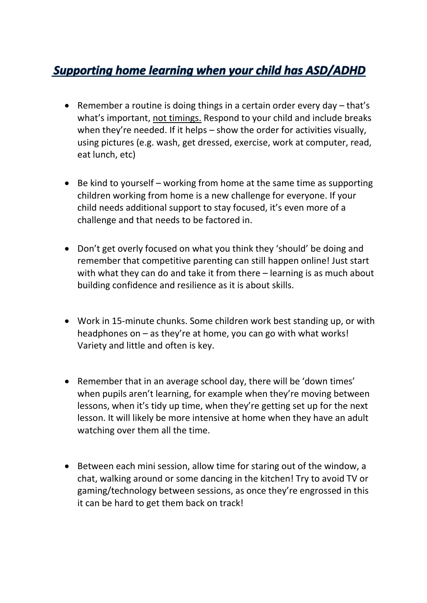## **Supporting home learning when your child has ASD/ADHD**

- Remember a routine is doing things in a certain order every day that's what's important, not timings. Respond to your child and include breaks when they're needed. If it helps – show the order for activities visually, using pictures (e.g. wash, get dressed, exercise, work at computer, read, eat lunch, etc)
- Be kind to yourself working from home at the same time as supporting children working from home is a new challenge for everyone. If your child needs additional support to stay focused, it's even more of a challenge and that needs to be factored in.
- Don't get overly focused on what you think they 'should' be doing and remember that competitive parenting can still happen online! Just start with what they can do and take it from there – learning is as much about building confidence and resilience as it is about skills.
- Work in 15-minute chunks. Some children work best standing up, or with headphones on – as they're at home, you can go with what works! Variety and little and often is key.
- Remember that in an average school day, there will be 'down times' when pupils aren't learning, for example when they're moving between lessons, when it's tidy up time, when they're getting set up for the next lesson. It will likely be more intensive at home when they have an adult watching over them all the time.
- Between each mini session, allow time for staring out of the window, a chat, walking around or some dancing in the kitchen! Try to avoid TV or gaming/technology between sessions, as once they're engrossed in this it can be hard to get them back on track!